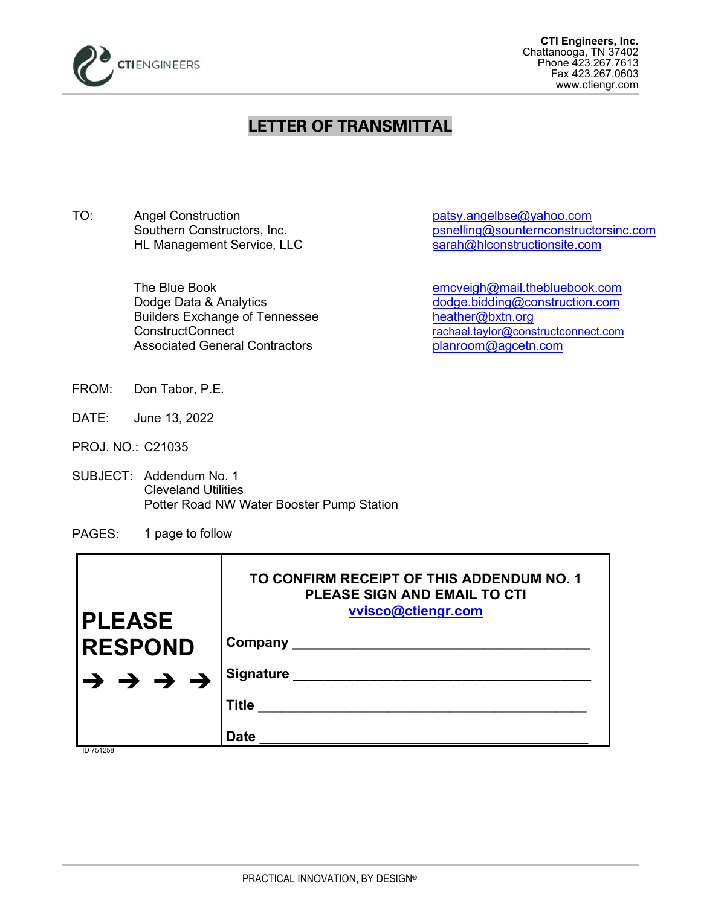

## **LETTER OF TRANSMITTAL**

TO: Angel Construction example and patsy.angelbse@yahoo.com HL Management Service, LLC

> Builders Exchange of Tennessee [heather@bxtn.org](mailto:heather@bxtn.org) Associated General Contractors entity planroom@agcetn.com

Southern Constructors, Inc.<br>
HL Management Service, LLC<br>
Sarah@hlconstructionsite.com<br>
sarah@hlconstructionsite.com

The Blue Book [emcveigh@mail.thebluebook.com](mailto:emcveigh@mail.thebluebook.com) Dodge Data & Analytics [dodge.bidding@construction.com](mailto:dodge.bidding@construction.com) ConstructConnect [rachael.taylor@constructconnect.com](mailto:rachael.taylor@constructconnect.com)

- FROM: Don Tabor, P.E.
- DATE: June 13, 2022
- PROJ. NO.: C21035
- SUBJECT: Addendum No. 1 Cleveland Utilities Potter Road NW Water Booster Pump Station
- PAGES: 1 page to follow

| <b>PLEASE</b>                                           | TO CONFIRM RECEIPT OF THIS ADDENDUM NO. 1<br><b>PLEASE SIGN AND EMAIL TO CTI</b><br>vvisco@ctiengr.com |
|---------------------------------------------------------|--------------------------------------------------------------------------------------------------------|
| <b>RESPOND</b>                                          | Company ______                                                                                         |
| $\rightarrow$ $\rightarrow$ $\rightarrow$ $\rightarrow$ | <b>Signature</b>                                                                                       |
|                                                         | <b>Title</b>                                                                                           |
| ID 751258                                               | <b>Date</b>                                                                                            |